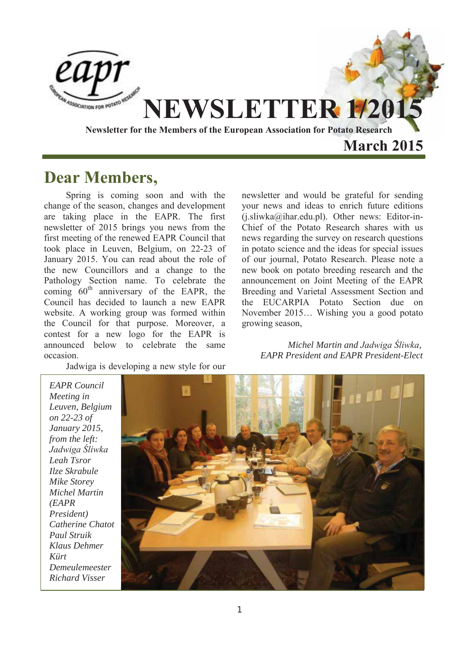

### **Dear Members,**

Spring is coming soon and with the change of the season, changes and development are taking place in the EAPR. The first newsletter of 2015 brings you news from the first meeting of the renewed EAPR Council that took place in Leuven, Belgium, on 22-23 of January 2015. You can read about the role of the new Councillors and a change to the Pathology Section name. To celebrate the coming  $60<sup>th</sup>$  anniversary of the EAPR, the Council has decided to launch a new EAPR website. A working group was formed within the Council for that purpose. Moreover, a contest for a new logo for the EAPR is announced below to celebrate the same occasion.

Jadwiga is developing a new style for our

newsletter and would be grateful for sending your news and ideas to enrich future editions  $(i. sliwka@ihar.edu.pl)$ . Other news: Editor-in-Chief of the Potato Research shares with us news regarding the survey on research questions in potato science and the ideas for special issues of our journal, Potato Research. Please note a new book on potato breeding research and the announcement on Joint Meeting of the EAPR Breeding and Varietal Assessment Section and the EUCARPIA Potato Section due on November 2015… Wishing you a good potato growing season,

 *Michel Martin and Jadwiga Śliwka, EAPR President and EAPR President-Elect* 

*EAPR Council Meeting in Leuven, Belgium on 22-23 of January 2015, from the left: Jadwiga Śliwka Leah Tsror Ilze Skrabule Mike Storey Michel Martin (EAPR President) Catherine Chatot Paul Struik Klaus Dehmer Kürt Demeulemeester Richard Visser* 

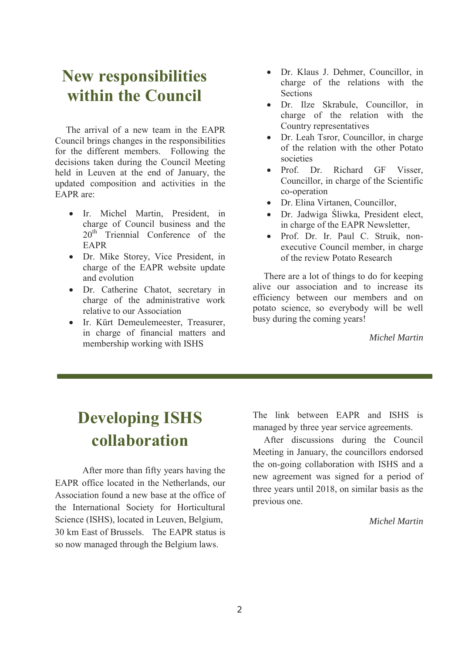### **New responsibilities within the Council**

The arrival of a new team in the EAPR Council brings changes in the responsibilities for the different members. Following the decisions taken during the Council Meeting held in Leuven at the end of January, the updated composition and activities in the EAPR are:

- Ir. Michel Martin, President, in charge of Council business and the  $20^{th}$  Triennial Conference of the EAPR
- Dr. Mike Storey, Vice President, in charge of the EAPR website update and evolution
- Dr. Catherine Chatot, secretary in charge of the administrative work relative to our Association
- Ir. Kürt Demeulemeester, Treasurer, in charge of financial matters and membership working with ISHS
- Dr. Klaus J. Dehmer, Councillor, in charge of the relations with the Sections
- Dr. Ilze Skrabule, Councillor, in charge of the relation with the Country representatives
- Dr. Leah Tsror, Councillor, in charge of the relation with the other Potato societies
- Prof. Dr. Richard GF Visser Councillor, in charge of the Scientific co-operation
- Dr. Elina Virtanen, Councillor,
- Dr. Jadwiga Śliwka, President elect, in charge of the EAPR Newsletter,
- x Prof. Dr. Ir. Paul C. Struik, nonexecutive Council member, in charge of the review Potato Research

There are a lot of things to do for keeping alive our association and to increase its efficiency between our members and on potato science, so everybody will be well busy during the coming years!

*Michel Martin* 

# **Developing ISHS collaboration**

After more than fifty years having the EAPR office located in the Netherlands, our Association found a new base at the office of the International Society for Horticultural Science (ISHS), located in Leuven, Belgium, 30 km East of Brussels. The EAPR status is so now managed through the Belgium laws.

The link between EAPR and ISHS is managed by three year service agreements.

After discussions during the Council Meeting in January, the councillors endorsed the on-going collaboration with ISHS and a new agreement was signed for a period of three years until 2018, on similar basis as the previous one.

*Michel Martin*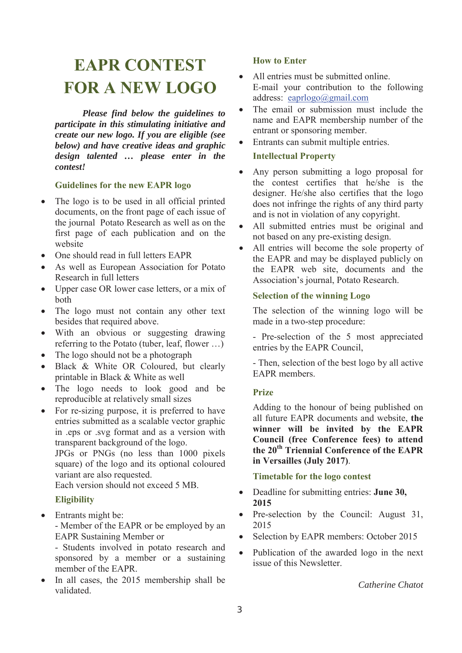### **EAPR CONTEST FOR A NEW LOGO**

*Please find below the guidelines to participate in this stimulating initiative and create our new logo. If you are eligible (see below) and have creative ideas and graphic design talented … please enter in the contest!* 

#### **Guidelines for the new EAPR logo**

- The logo is to be used in all official printed documents, on the front page of each issue of the journal Potato Research as well as on the first page of each publication and on the website
- One should read in full letters EAPR
- As well as European Association for Potato Research in full letters
- Upper case OR lower case letters, or a mix of both
- The logo must not contain any other text besides that required above.
- With an obvious or suggesting drawing referring to the Potato (tuber, leaf, flower …)
- The logo should not be a photograph
- x Black & White OR Coloured, but clearly printable in Black & White as well
- The logo needs to look good and be reproducible at relatively small sizes
- For re-sizing purpose, it is preferred to have entries submitted as a scalable vector graphic in .eps or .svg format and as a version with transparent background of the logo.

JPGs or PNGs (no less than 1000 pixels square) of the logo and its optional coloured variant are also requested.

Each version should not exceed 5 MB.

#### **Eligibility**

 $\bullet$  Entrants might be: - Member of the EAPR or be employed by an EAPR Sustaining Member or

- Students involved in potato research and sponsored by a member or a sustaining member of the EAPR.

• In all cases, the 2015 membership shall be validated.

#### **How to Enter**

- All entries must be submitted online. E-mail your contribution to the following address: eaprlogo@gmail.com
- The email or submission must include the name and EAPR membership number of the entrant or sponsoring member.
- Entrants can submit multiple entries.

#### **Intellectual Property**

- Any person submitting a logo proposal for the contest certifies that he/she is the designer. He/she also certifies that the logo does not infringe the rights of any third party and is not in violation of any copyright.
- All submitted entries must be original and not based on any pre-existing design.
- All entries will become the sole property of the EAPR and may be displayed publicly on the EAPR web site, documents and the Association's journal, Potato Research.

#### **Selection of the winning Logo**

The selection of the winning logo will be made in a two-step procedure:

- Pre-selection of the 5 most appreciated entries by the EAPR Council,

- Then, selection of the best logo by all active EAPR members.

#### **Prize**

Adding to the honour of being published on all future EAPR documents and website, **the winner will be invited by the EAPR Council (free Conference fees) to attend the 20th Triennial Conference of the EAPR in Versailles (July 2017)**.

#### **Timetable for the logo contest**

- Deadline for submitting entries: **June 30, 2015**
- Pre-selection by the Council: August 31, 2015
- Selection by EAPR members: October 2015
- Publication of the awarded logo in the next issue of this Newsletter.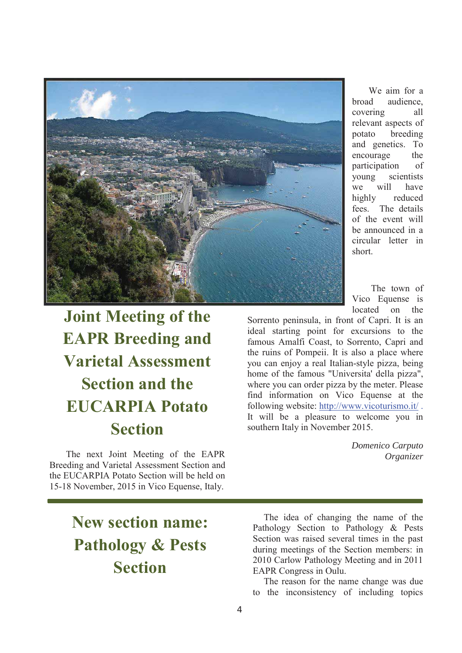

# **Joint Meeting of the EAPR Breeding and Varietal Assessment Section and the EUCARPIA Potato Section**

The next Joint Meeting of the EAPR Breeding and Varietal Assessment Section and the EUCARPIA Potato Section will be held on 15-18 November, 2015 in Vico Equense, Italy.

We aim for a broad audience, covering all relevant aspects of potato breeding and genetics. To encourage the participation of young scientists we will have highly reduced fees. The details of the event will be announced in a circular letter in short.

 The town of Vico Equense is located on the

Sorrento peninsula, in front of Capri. It is an ideal starting point for excursions to the famous Amalfi Coast, to Sorrento, Capri and the ruins of Pompeii. It is also a place where you can enjoy a real Italian-style pizza, being home of the famous "Universita' della pizza", where you can order pizza by the meter. Please find information on Vico Equense at the following website: http://www.vicoturismo.it/ . It will be a pleasure to welcome you in southern Italy in November 2015.

> *Domenico Carputo Organizer*

## **New section name: Pathology & Pests Section**

The idea of changing the name of the Pathology Section to Pathology & Pests Section was raised several times in the past during meetings of the Section members: in 2010 Carlow Pathology Meeting and in 2011 EAPR Congress in Oulu.

The reason for the name change was due to the inconsistency of including topics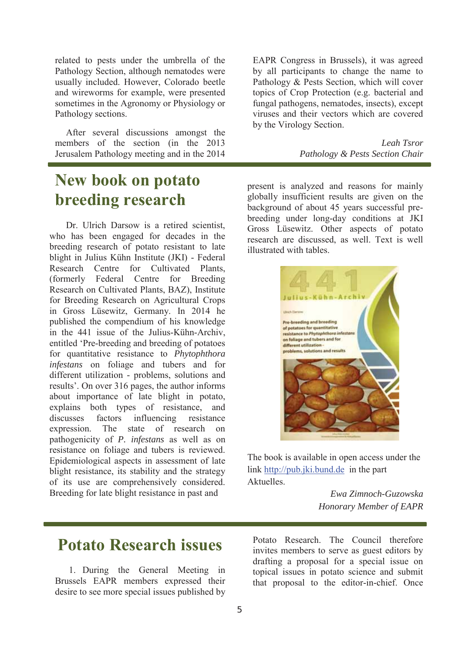related to pests under the umbrella of the Pathology Section, although nematodes were usually included. However, Colorado beetle and wireworms for example, were presented sometimes in the Agronomy or Physiology or Pathology sections.

After several discussions amongst the members of the section (in the 2013 Jerusalem Pathology meeting and in the 2014

### **New book on potato breeding research**

Dr. Ulrich Darsow is a retired scientist, who has been engaged for decades in the breeding research of potato resistant to late blight in Julius Kühn Institute (JKI) - Federal Research Centre for Cultivated Plants (formerly Federal Centre for Breeding Research on Cultivated Plants, BAZ), Institute for Breeding Research on Agricultural Crops in Gross Lüsewitz, Germany. In 2014 he published the compendium of his knowledge in the 441 issue of the Julius-Kühn-Archiv, entitled 'Pre-breeding and breeding of potatoes for quantitative resistance to *Phytophthora infestans* on foliage and tubers and for different utilization - problems, solutions and results'. On over 316 pages, the author informs about importance of late blight in potato, explains both types of resistance, and discusses factors influencing resistance expression. The state of research on pathogenicity of *P. infestans* as well as on resistance on foliage and tubers is reviewed. Epidemiological aspects in assessment of late blight resistance, its stability and the strategy of its use are comprehensively considered. Breeding for late blight resistance in past and

EAPR Congress in Brussels), it was agreed by all participants to change the name to Pathology & Pests Section, which will cover topics of Crop Protection (e.g. bacterial and fungal pathogens, nematodes, insects), except viruses and their vectors which are covered by the Virology Section.

> *Leah Tsror Pathology & Pests Section Chair*

present is analyzed and reasons for mainly globally insufficient results are given on the background of about 45 years successful prebreeding under long-day conditions at JKI Gross Lüsewitz. Other aspects of potato research are discussed, as well. Text is well illustrated with tables.



The book is available in open access under the link http://pub.jki.bund.de in the part **Aktuelles** 

> *Ewa Zimnoch-Guzowska Honorary Member of EAPR*

### **Potato Research issues**

1. During the General Meeting in Brussels EAPR members expressed their desire to see more special issues published by Potato Research. The Council therefore invites members to serve as guest editors by drafting a proposal for a special issue on topical issues in potato science and submit that proposal to the editor-in-chief. Once